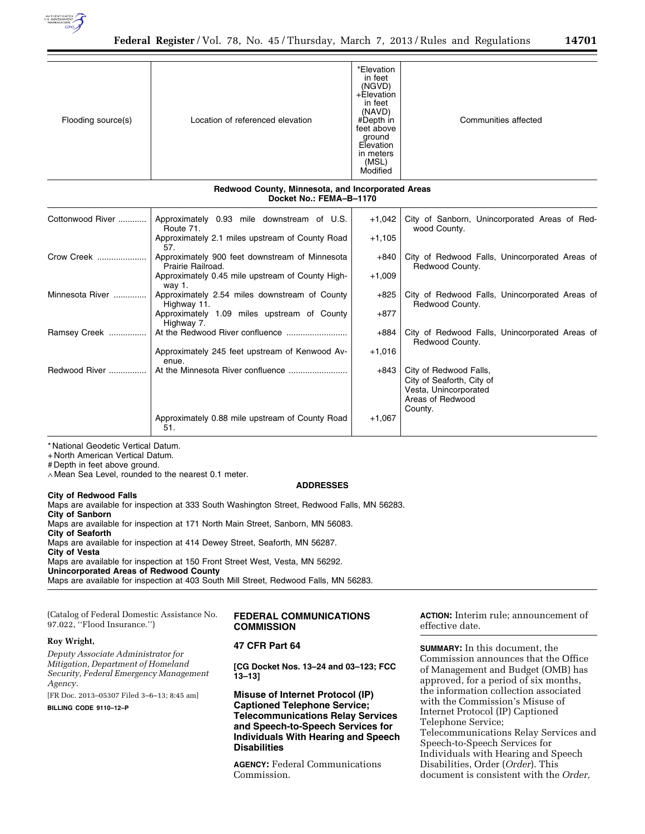

| Flooding source(s) | Location of referenced elevation | *Elevation<br>in feet<br>(NGVD)<br>+Elevation<br>in feet<br>(NAVD)<br>#Depth in<br>feet above<br>ground<br>Elevation<br>in meters<br>(MSL)<br>Modified | Communities affected |
|--------------------|----------------------------------|--------------------------------------------------------------------------------------------------------------------------------------------------------|----------------------|

### **Redwood County, Minnesota, and Incorporated Areas Docket No.: FEMA–B–1170**

| Cottonwood River | Approximately 0.93 mile downstream of U.S.<br>Route 71.             | +1,042   | City of Sanborn, Unincorporated Areas of Red-<br>wood County.                                               |
|------------------|---------------------------------------------------------------------|----------|-------------------------------------------------------------------------------------------------------------|
|                  | Approximately 2.1 miles upstream of County Road<br>57.              | $+1,105$ |                                                                                                             |
| Crow Creek       | Approximately 900 feet downstream of Minnesota<br>Prairie Railroad. | +840     | City of Redwood Falls, Unincorporated Areas of<br>Redwood County.                                           |
|                  | Approximately 0.45 mile upstream of County High-<br>way 1.          | $+1,009$ |                                                                                                             |
| Minnesota River  | Approximately 2.54 miles downstream of County<br>Highway 11.        | +825     | City of Redwood Falls, Unincorporated Areas of<br>Redwood County.                                           |
|                  | Approximately 1.09 miles upstream of County<br>Highway 7.           | $+877$   |                                                                                                             |
| Ramsey Creek     |                                                                     | +884     | City of Redwood Falls, Unincorporated Areas of<br>Redwood County.                                           |
|                  | Approximately 245 feet upstream of Kenwood Av-<br>enue.             | $+1,016$ |                                                                                                             |
| Redwood River    |                                                                     | $+843$   | City of Redwood Falls,<br>City of Seaforth, City of<br>Vesta, Unincorporated<br>Areas of Redwood<br>County. |
|                  | Approximately 0.88 mile upstream of County Road<br>51.              | $+1,067$ |                                                                                                             |

\* National Geodetic Vertical Datum.

+ North American Vertical Datum.

# Depth in feet above ground.

∧ Mean Sea Level, rounded to the nearest 0.1 meter.

### **ADDRESSES**

### **City of Redwood Falls**

Maps are available for inspection at 333 South Washington Street, Redwood Falls, MN 56283. **City of Sanborn**  Maps are available for inspection at 171 North Main Street, Sanborn, MN 56083. **City of Seaforth**  Maps are available for inspection at 414 Dewey Street, Seaforth, MN 56287. **City of Vesta**  Maps are available for inspection at 150 Front Street West, Vesta, MN 56292. **Unincorporated Areas of Redwood County**  Maps are available for inspection at 403 South Mill Street, Redwood Falls, MN 56283.

| (Catalog of Federal Domestic Assistance No. |
|---------------------------------------------|
| 97.022, ''Flood Insurance.'')               |

### **Roy Wright,**

*Deputy Associate Administrator for Mitigation, Department of Homeland Security, Federal Emergency Management Agency.* 

[FR Doc. 2013–05307 Filed 3–6–13; 8:45 am]

**BILLING CODE 9110–12–P** 

### **FEDERAL COMMUNICATIONS COMMISSION**

# **47 CFR Part 64**

**[CG Docket Nos. 13–24 and 03–123; FCC 13–13]** 

**Misuse of Internet Protocol (IP) Captioned Telephone Service; Telecommunications Relay Services and Speech-to-Speech Services for Individuals With Hearing and Speech Disabilities** 

**AGENCY:** Federal Communications Commission.

**ACTION:** Interim rule; announcement of effective date.

**SUMMARY:** In this document, the Commission announces that the Office of Management and Budget (OMB) has approved, for a period of six months, the information collection associated with the Commission's Misuse of Internet Protocol (IP) Captioned Telephone Service; Telecommunications Relay Services and Speech-to-Speech Services for Individuals with Hearing and Speech Disabilities, Order (*Order*). This document is consistent with the *Order,*